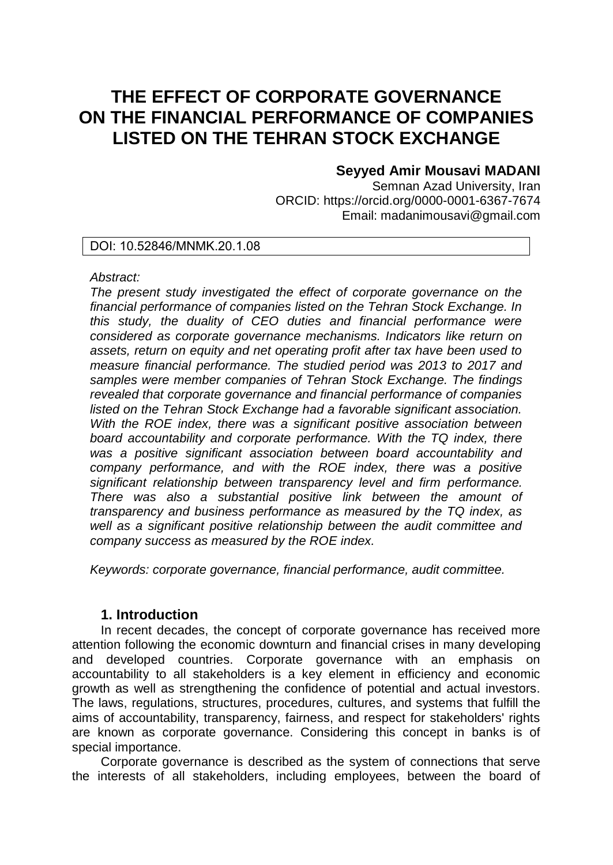# **THE EFFECT OF CORPORATE GOVERNANCE ON THE FINANCIAL PERFORMANCE OF COMPANIES LISTED ON THE TEHRAN STOCK EXCHANGE**

# **Seyyed Amir Mousavi MADANI**

Semnan Azad University, Iran ORCID: https://orcid.org/0000-0001-6367-7674 Email: madanimousavi@gmail.com

### DOI: 10.52846/MNMK.20.1.08

### *Abstract:*

*The present study investigated the effect of corporate governance on the financial performance of companies listed on the Tehran Stock Exchange. In this study, the duality of CEO duties and financial performance were considered as corporate governance mechanisms. Indicators like return on assets, return on equity and net operating profit after tax have been used to measure financial performance. The studied period was 2013 to 2017 and samples were member companies of Tehran Stock Exchange. The findings revealed that corporate governance and financial performance of companies listed on the Tehran Stock Exchange had a favorable significant association. With the ROE index, there was a significant positive association between board accountability and corporate performance. With the TQ index, there was a positive significant association between board accountability and company performance, and with the ROE index, there was a positive significant relationship between transparency level and firm performance. There was also a substantial positive link between the amount of transparency and business performance as measured by the TQ index, as well as a significant positive relationship between the audit committee and company success as measured by the ROE index.*

*Keywords: corporate governance, financial performance, audit committee.* 

## **1. Introduction**

In recent decades, the concept of corporate governance has received more attention following the economic downturn and financial crises in many developing and developed countries. Corporate governance with an emphasis on accountability to all stakeholders is a key element in efficiency and economic growth as well as strengthening the confidence of potential and actual investors. The laws, regulations, structures, procedures, cultures, and systems that fulfill the aims of accountability, transparency, fairness, and respect for stakeholders' rights are known as corporate governance. Considering this concept in banks is of special importance.

Corporate governance is described as the system of connections that serve the interests of all stakeholders, including employees, between the board of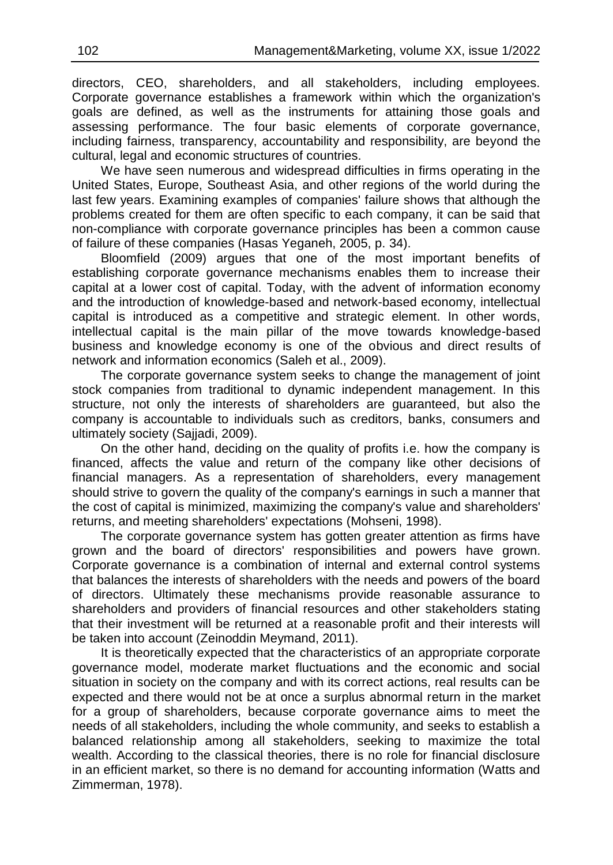directors, CEO, shareholders, and all stakeholders, including employees. Corporate governance establishes a framework within which the organization's goals are defined, as well as the instruments for attaining those goals and assessing performance. The four basic elements of corporate governance, including fairness, transparency, accountability and responsibility, are beyond the cultural, legal and economic structures of countries.

We have seen numerous and widespread difficulties in firms operating in the United States, Europe, Southeast Asia, and other regions of the world during the last few years. Examining examples of companies' failure shows that although the problems created for them are often specific to each company, it can be said that non-compliance with corporate governance principles has been a common cause of failure of these companies (Hasas Yeganeh, 2005, p. 34).

Bloomfield (2009) argues that one of the most important benefits of establishing corporate governance mechanisms enables them to increase their capital at a lower cost of capital. Today, with the advent of information economy and the introduction of knowledge-based and network-based economy, intellectual capital is introduced as a competitive and strategic element. In other words, intellectual capital is the main pillar of the move towards knowledge-based business and knowledge economy is one of the obvious and direct results of network and information economics (Saleh et al., 2009).

The corporate governance system seeks to change the management of joint stock companies from traditional to dynamic independent management. In this structure, not only the interests of shareholders are guaranteed, but also the company is accountable to individuals such as creditors, banks, consumers and ultimately society (Sajjadi, 2009).

On the other hand, deciding on the quality of profits i.e. how the company is financed, affects the value and return of the company like other decisions of financial managers. As a representation of shareholders, every management should strive to govern the quality of the company's earnings in such a manner that the cost of capital is minimized, maximizing the company's value and shareholders' returns, and meeting shareholders' expectations (Mohseni, 1998).

The corporate governance system has gotten greater attention as firms have grown and the board of directors' responsibilities and powers have grown. Corporate governance is a combination of internal and external control systems that balances the interests of shareholders with the needs and powers of the board of directors. Ultimately these mechanisms provide reasonable assurance to shareholders and providers of financial resources and other stakeholders stating that their investment will be returned at a reasonable profit and their interests will be taken into account (Zeinoddin Meymand, 2011).

It is theoretically expected that the characteristics of an appropriate corporate governance model, moderate market fluctuations and the economic and social situation in society on the company and with its correct actions, real results can be expected and there would not be at once a surplus abnormal return in the market for a group of shareholders, because corporate governance aims to meet the needs of all stakeholders, including the whole community, and seeks to establish a balanced relationship among all stakeholders, seeking to maximize the total wealth. According to the classical theories, there is no role for financial disclosure in an efficient market, so there is no demand for accounting information (Watts and Zimmerman, 1978).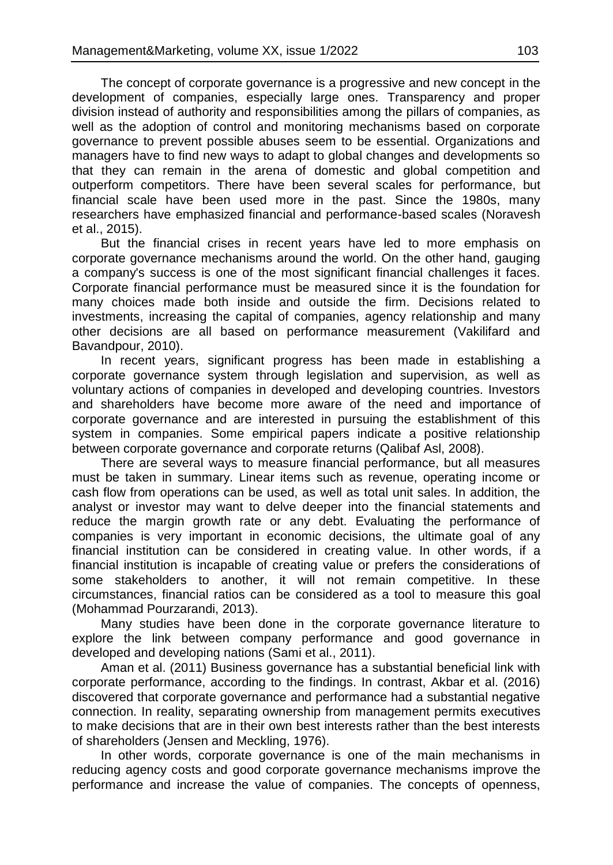The concept of corporate governance is a progressive and new concept in the development of companies, especially large ones. Transparency and proper division instead of authority and responsibilities among the pillars of companies, as well as the adoption of control and monitoring mechanisms based on corporate governance to prevent possible abuses seem to be essential. Organizations and managers have to find new ways to adapt to global changes and developments so that they can remain in the arena of domestic and global competition and outperform competitors. There have been several scales for performance, but financial scale have been used more in the past. Since the 1980s, many researchers have emphasized financial and performance-based scales (Noravesh et al., 2015).

But the financial crises in recent years have led to more emphasis on corporate governance mechanisms around the world. On the other hand, gauging a company's success is one of the most significant financial challenges it faces. Corporate financial performance must be measured since it is the foundation for many choices made both inside and outside the firm. Decisions related to investments, increasing the capital of companies, agency relationship and many other decisions are all based on performance measurement (Vakilifard and Bavandpour, 2010).

In recent years, significant progress has been made in establishing a corporate governance system through legislation and supervision, as well as voluntary actions of companies in developed and developing countries. Investors and shareholders have become more aware of the need and importance of corporate governance and are interested in pursuing the establishment of this system in companies. Some empirical papers indicate a positive relationship between corporate governance and corporate returns (Qalibaf Asl, 2008).

There are several ways to measure financial performance, but all measures must be taken in summary. Linear items such as revenue, operating income or cash flow from operations can be used, as well as total unit sales. In addition, the analyst or investor may want to delve deeper into the financial statements and reduce the margin growth rate or any debt. Evaluating the performance of companies is very important in economic decisions, the ultimate goal of any financial institution can be considered in creating value. In other words, if a financial institution is incapable of creating value or prefers the considerations of some stakeholders to another, it will not remain competitive. In these circumstances, financial ratios can be considered as a tool to measure this goal (Mohammad Pourzarandi, 2013).

Many studies have been done in the corporate governance literature to explore the link between company performance and good governance in developed and developing nations (Sami et al., 2011).

Aman et al. (2011) Business governance has a substantial beneficial link with corporate performance, according to the findings. In contrast, Akbar et al. (2016) discovered that corporate governance and performance had a substantial negative connection. In reality, separating ownership from management permits executives to make decisions that are in their own best interests rather than the best interests of shareholders (Jensen and Meckling, 1976).

In other words, corporate governance is one of the main mechanisms in reducing agency costs and good corporate governance mechanisms improve the performance and increase the value of companies. The concepts of openness,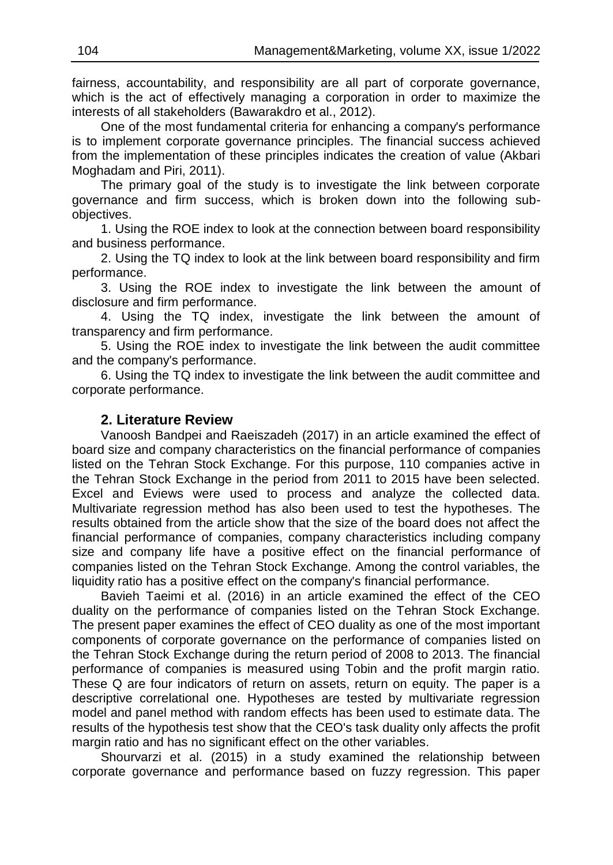fairness, accountability, and responsibility are all part of corporate governance, which is the act of effectively managing a corporation in order to maximize the interests of all stakeholders (Bawarakdro et al., 2012).

One of the most fundamental criteria for enhancing a company's performance is to implement corporate governance principles. The financial success achieved from the implementation of these principles indicates the creation of value (Akbari Moghadam and Piri, 2011).

The primary goal of the study is to investigate the link between corporate governance and firm success, which is broken down into the following subobjectives.

1. Using the ROE index to look at the connection between board responsibility and business performance.

2. Using the TQ index to look at the link between board responsibility and firm performance.

3. Using the ROE index to investigate the link between the amount of disclosure and firm performance.

4. Using the TQ index, investigate the link between the amount of transparency and firm performance.

5. Using the ROE index to investigate the link between the audit committee and the company's performance.

6. Using the TQ index to investigate the link between the audit committee and corporate performance.

### **2. Literature Review**

Vanoosh Bandpei and Raeiszadeh (2017) in an article examined the effect of board size and company characteristics on the financial performance of companies listed on the Tehran Stock Exchange. For this purpose, 110 companies active in the Tehran Stock Exchange in the period from 2011 to 2015 have been selected. Excel and Eviews were used to process and analyze the collected data. Multivariate regression method has also been used to test the hypotheses. The results obtained from the article show that the size of the board does not affect the financial performance of companies, company characteristics including company size and company life have a positive effect on the financial performance of companies listed on the Tehran Stock Exchange. Among the control variables, the liquidity ratio has a positive effect on the company's financial performance.

Bavieh Taeimi et al. (2016) in an article examined the effect of the CEO duality on the performance of companies listed on the Tehran Stock Exchange. The present paper examines the effect of CEO duality as one of the most important components of corporate governance on the performance of companies listed on the Tehran Stock Exchange during the return period of 2008 to 2013. The financial performance of companies is measured using Tobin and the profit margin ratio. These Q are four indicators of return on assets, return on equity. The paper is a descriptive correlational one. Hypotheses are tested by multivariate regression model and panel method with random effects has been used to estimate data. The results of the hypothesis test show that the CEO's task duality only affects the profit margin ratio and has no significant effect on the other variables.

Shourvarzi et al. (2015) in a study examined the relationship between corporate governance and performance based on fuzzy regression. This paper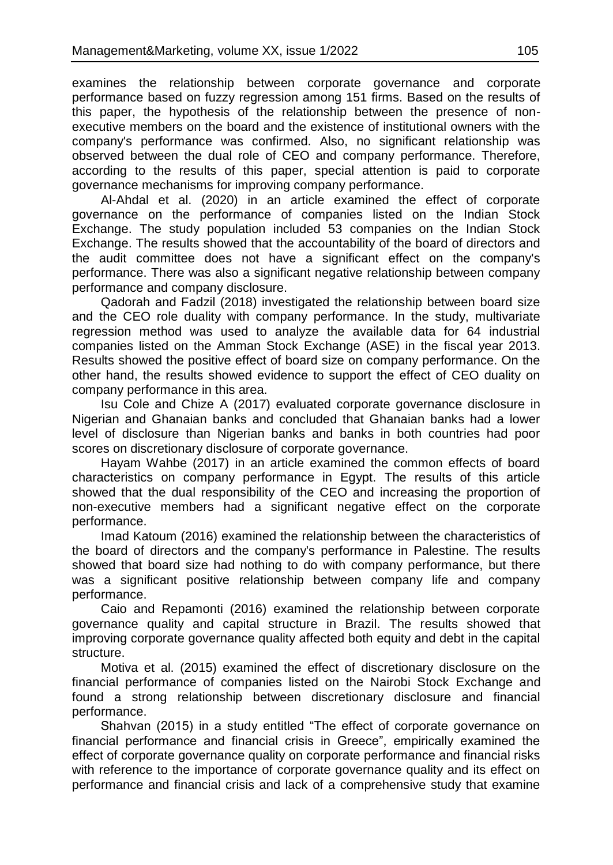examines the relationship between corporate governance and corporate performance based on fuzzy regression among 151 firms. Based on the results of this paper, the hypothesis of the relationship between the presence of nonexecutive members on the board and the existence of institutional owners with the company's performance was confirmed. Also, no significant relationship was observed between the dual role of CEO and company performance. Therefore, according to the results of this paper, special attention is paid to corporate governance mechanisms for improving company performance.

Al-Ahdal et al. (2020) in an article examined the effect of corporate governance on the performance of companies listed on the Indian Stock Exchange. The study population included 53 companies on the Indian Stock Exchange. The results showed that the accountability of the board of directors and the audit committee does not have a significant effect on the company's performance. There was also a significant negative relationship between company performance and company disclosure.

Qadorah and Fadzil (2018) investigated the relationship between board size and the CEO role duality with company performance. In the study, multivariate regression method was used to analyze the available data for 64 industrial companies listed on the Amman Stock Exchange (ASE) in the fiscal year 2013. Results showed the positive effect of board size on company performance. On the other hand, the results showed evidence to support the effect of CEO duality on company performance in this area.

Isu Cole and Chize A (2017) evaluated corporate governance disclosure in Nigerian and Ghanaian banks and concluded that Ghanaian banks had a lower level of disclosure than Nigerian banks and banks in both countries had poor scores on discretionary disclosure of corporate governance.

Hayam Wahbe (2017) in an article examined the common effects of board characteristics on company performance in Egypt. The results of this article showed that the dual responsibility of the CEO and increasing the proportion of non-executive members had a significant negative effect on the corporate performance.

Imad Katoum (2016) examined the relationship between the characteristics of the board of directors and the company's performance in Palestine. The results showed that board size had nothing to do with company performance, but there was a significant positive relationship between company life and company performance.

Caio and Repamonti (2016) examined the relationship between corporate governance quality and capital structure in Brazil. The results showed that improving corporate governance quality affected both equity and debt in the capital structure.

Motiva et al. (2015) examined the effect of discretionary disclosure on the financial performance of companies listed on the Nairobi Stock Exchange and found a strong relationship between discretionary disclosure and financial performance.

Shahvan (2015) in a study entitled "The effect of corporate governance on financial performance and financial crisis in Greece", empirically examined the effect of corporate governance quality on corporate performance and financial risks with reference to the importance of corporate governance quality and its effect on performance and financial crisis and lack of a comprehensive study that examine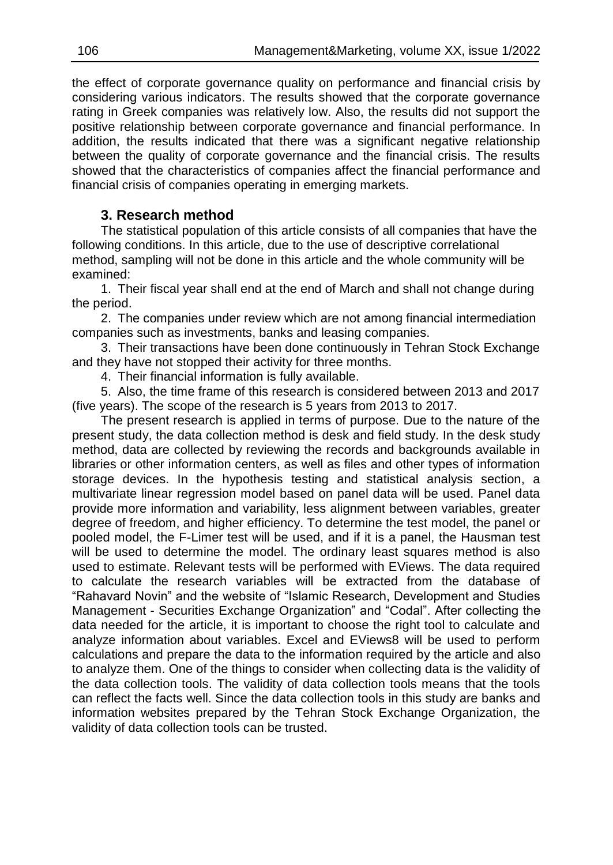the effect of corporate governance quality on performance and financial crisis by considering various indicators. The results showed that the corporate governance rating in Greek companies was relatively low. Also, the results did not support the positive relationship between corporate governance and financial performance. In addition, the results indicated that there was a significant negative relationship between the quality of corporate governance and the financial crisis. The results showed that the characteristics of companies affect the financial performance and financial crisis of companies operating in emerging markets.

# **3. Research method**

The statistical population of this article consists of all companies that have the following conditions. In this article, due to the use of descriptive correlational method, sampling will not be done in this article and the whole community will be examined:

1. Their fiscal year shall end at the end of March and shall not change during the period.

2. The companies under review which are not among financial intermediation companies such as investments, banks and leasing companies.

3. Their transactions have been done continuously in Tehran Stock Exchange and they have not stopped their activity for three months.

4. Their financial information is fully available.

5. Also, the time frame of this research is considered between 2013 and 2017 (five years). The scope of the research is 5 years from 2013 to 2017.

The present research is applied in terms of purpose. Due to the nature of the present study, the data collection method is desk and field study. In the desk study method, data are collected by reviewing the records and backgrounds available in libraries or other information centers, as well as files and other types of information storage devices. In the hypothesis testing and statistical analysis section, a multivariate linear regression model based on panel data will be used. Panel data provide more information and variability, less alignment between variables, greater degree of freedom, and higher efficiency. To determine the test model, the panel or pooled model, the F-Limer test will be used, and if it is a panel, the Hausman test will be used to determine the model. The ordinary least squares method is also used to estimate. Relevant tests will be performed with EViews. The data required to calculate the research variables will be extracted from the database of "Rahavard Novin" and the website of "Islamic Research, Development and Studies Management - Securities Exchange Organization" and "Codal". After collecting the data needed for the article, it is important to choose the right tool to calculate and analyze information about variables. Excel and EViews8 will be used to perform calculations and prepare the data to the information required by the article and also to analyze them. One of the things to consider when collecting data is the validity of the data collection tools. The validity of data collection tools means that the tools can reflect the facts well. Since the data collection tools in this study are banks and information websites prepared by the Tehran Stock Exchange Organization, the validity of data collection tools can be trusted.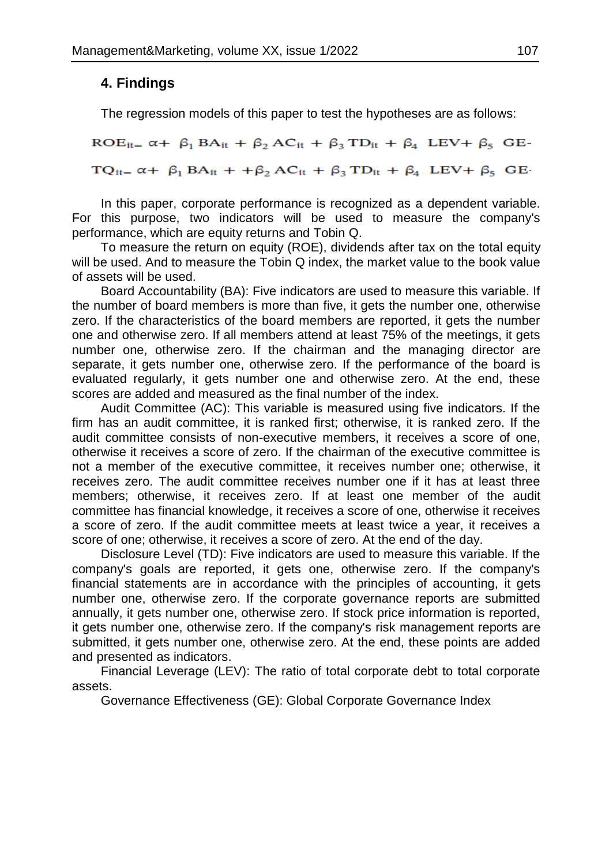# **4. Findings**

The regression models of this paper to test the hypotheses are as follows:

 $ROE_{it} = \alpha + \beta_1 BA_{it} + \beta_2 AC_{it} + \beta_3 TD_{it} + \beta_4 LEV + \beta_5 GE$  $TQ_{it} = \alpha + \beta_1 BA_{it} + \beta_2 AC_{it} + \beta_3 TD_{it} + \beta_4 LEV + \beta_5 GE$ 

In this paper, corporate performance is recognized as a dependent variable. For this purpose, two indicators will be used to measure the company's performance, which are equity returns and Tobin Q.

To measure the return on equity (ROE), dividends after tax on the total equity will be used. And to measure the Tobin Q index, the market value to the book value of assets will be used.

Board Accountability (BA): Five indicators are used to measure this variable. If the number of board members is more than five, it gets the number one, otherwise zero. If the characteristics of the board members are reported, it gets the number one and otherwise zero. If all members attend at least 75% of the meetings, it gets number one, otherwise zero. If the chairman and the managing director are separate, it gets number one, otherwise zero. If the performance of the board is evaluated regularly, it gets number one and otherwise zero. At the end, these scores are added and measured as the final number of the index.

Audit Committee (AC): This variable is measured using five indicators. If the firm has an audit committee, it is ranked first; otherwise, it is ranked zero. If the audit committee consists of non-executive members, it receives a score of one, otherwise it receives a score of zero. If the chairman of the executive committee is not a member of the executive committee, it receives number one; otherwise, it receives zero. The audit committee receives number one if it has at least three members; otherwise, it receives zero. If at least one member of the audit committee has financial knowledge, it receives a score of one, otherwise it receives a score of zero. If the audit committee meets at least twice a year, it receives a score of one; otherwise, it receives a score of zero. At the end of the day.

Disclosure Level (TD): Five indicators are used to measure this variable. If the company's goals are reported, it gets one, otherwise zero. If the company's financial statements are in accordance with the principles of accounting, it gets number one, otherwise zero. If the corporate governance reports are submitted annually, it gets number one, otherwise zero. If stock price information is reported, it gets number one, otherwise zero. If the company's risk management reports are submitted, it gets number one, otherwise zero. At the end, these points are added and presented as indicators.

Financial Leverage (LEV): The ratio of total corporate debt to total corporate assets.

Governance Effectiveness (GE): Global Corporate Governance Index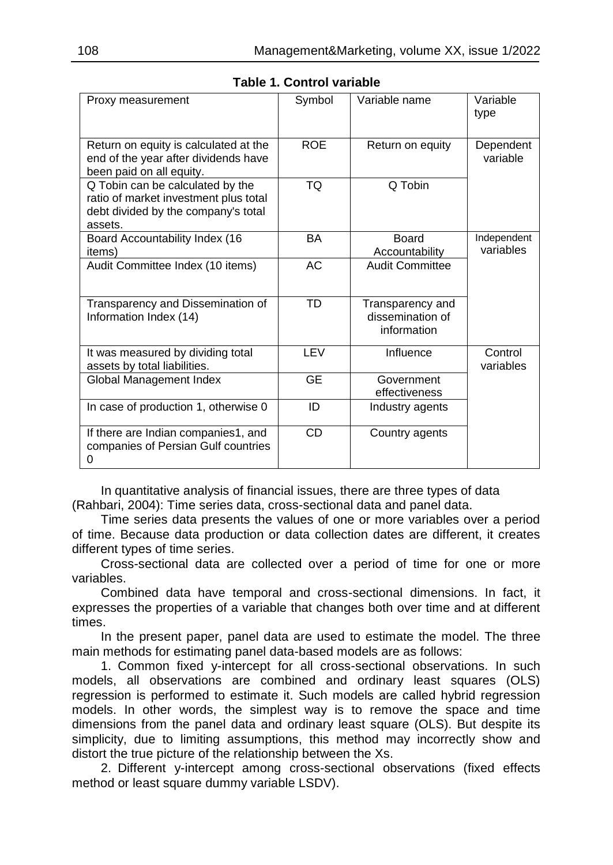| Proxy measurement                                                                                                           | Symbol     | Variable name                                       | Variable<br>type         |
|-----------------------------------------------------------------------------------------------------------------------------|------------|-----------------------------------------------------|--------------------------|
| Return on equity is calculated at the<br>end of the year after dividends have<br>been paid on all equity.                   | <b>ROE</b> | Return on equity                                    | Dependent<br>variable    |
| Q Tobin can be calculated by the<br>ratio of market investment plus total<br>debt divided by the company's total<br>assets. | TQ         | Q Tobin                                             |                          |
| Board Accountability Index (16<br><i>items</i> )                                                                            | BA         | Board<br>Accountability                             | Independent<br>variables |
| Audit Committee Index (10 items)                                                                                            | <b>AC</b>  | <b>Audit Committee</b>                              |                          |
| Transparency and Dissemination of<br>Information Index (14)                                                                 | TD         | Transparency and<br>dissemination of<br>information |                          |
| It was measured by dividing total<br>assets by total liabilities.                                                           | LEV        | Influence                                           | Control<br>variables     |
| Global Management Index                                                                                                     | <b>GF</b>  | Government<br>effectiveness                         |                          |
| In case of production 1, otherwise 0                                                                                        | ID         | Industry agents                                     |                          |
| If there are Indian companies1, and<br>companies of Persian Gulf countries<br>0                                             | <b>CD</b>  | Country agents                                      |                          |

**Table 1. Control variable**

In quantitative analysis of financial issues, there are three types of data (Rahbari, 2004): Time series data, cross-sectional data and panel data.

Time series data presents the values of one or more variables over a period of time. Because data production or data collection dates are different, it creates different types of time series.

Cross-sectional data are collected over a period of time for one or more variables.

Combined data have temporal and cross-sectional dimensions. In fact, it expresses the properties of a variable that changes both over time and at different times.

In the present paper, panel data are used to estimate the model. The three main methods for estimating panel data-based models are as follows:

1. Common fixed y-intercept for all cross-sectional observations. In such models, all observations are combined and ordinary least squares (OLS) regression is performed to estimate it. Such models are called hybrid regression models. In other words, the simplest way is to remove the space and time dimensions from the panel data and ordinary least square (OLS). But despite its simplicity, due to limiting assumptions, this method may incorrectly show and distort the true picture of the relationship between the Xs.

2. Different y-intercept among cross-sectional observations (fixed effects method or least square dummy variable LSDV).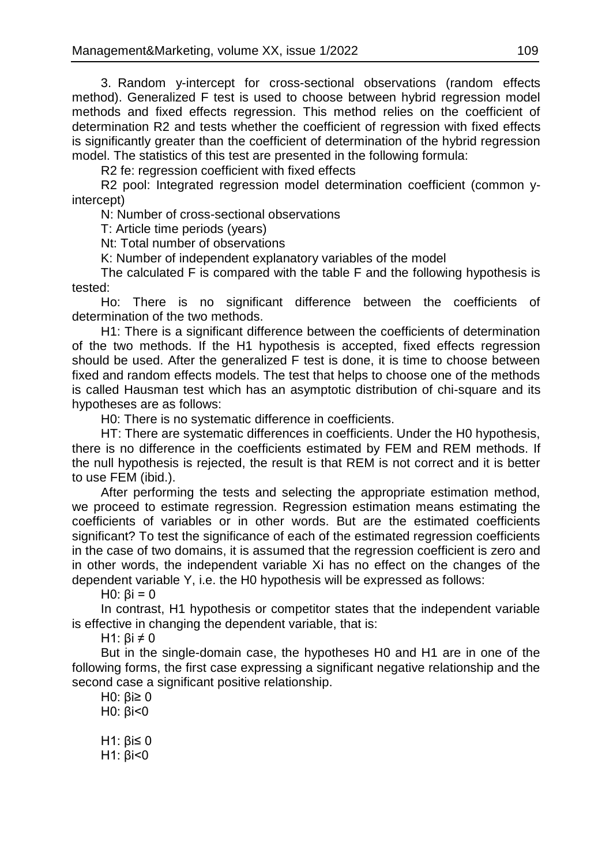3. Random y-intercept for cross-sectional observations (random effects method). Generalized F test is used to choose between hybrid regression model methods and fixed effects regression. This method relies on the coefficient of determination R2 and tests whether the coefficient of regression with fixed effects is significantly greater than the coefficient of determination of the hybrid regression model. The statistics of this test are presented in the following formula:

R2 fe: regression coefficient with fixed effects

R2 pool: Integrated regression model determination coefficient (common yintercept)

N: Number of cross-sectional observations

T: Article time periods (years)

Nt: Total number of observations

K: Number of independent explanatory variables of the model

The calculated F is compared with the table F and the following hypothesis is tested:

Ho: There is no significant difference between the coefficients of determination of the two methods.

H1: There is a significant difference between the coefficients of determination of the two methods. If the H1 hypothesis is accepted, fixed effects regression should be used. After the generalized F test is done, it is time to choose between fixed and random effects models. The test that helps to choose one of the methods is called Hausman test which has an asymptotic distribution of chi-square and its hypotheses are as follows:

H0: There is no systematic difference in coefficients.

HT: There are systematic differences in coefficients. Under the H0 hypothesis, there is no difference in the coefficients estimated by FEM and REM methods. If the null hypothesis is rejected, the result is that REM is not correct and it is better to use FEM (ibid.).

After performing the tests and selecting the appropriate estimation method, we proceed to estimate regression. Regression estimation means estimating the coefficients of variables or in other words. But are the estimated coefficients significant? To test the significance of each of the estimated regression coefficients in the case of two domains, it is assumed that the regression coefficient is zero and in other words, the independent variable Xi has no effect on the changes of the dependent variable Y, i.e. the H0 hypothesis will be expressed as follows:

 $H0: Bi = 0$ 

In contrast, H1 hypothesis or competitor states that the independent variable is effective in changing the dependent variable, that is:

H1:  $\text{Bi} \neq 0$ 

But in the single-domain case, the hypotheses H0 and H1 are in one of the following forms, the first case expressing a significant negative relationship and the second case a significant positive relationship.

H0: βi≥ 0 H0: βi<0

H1: βi≤ 0

H1: βi<0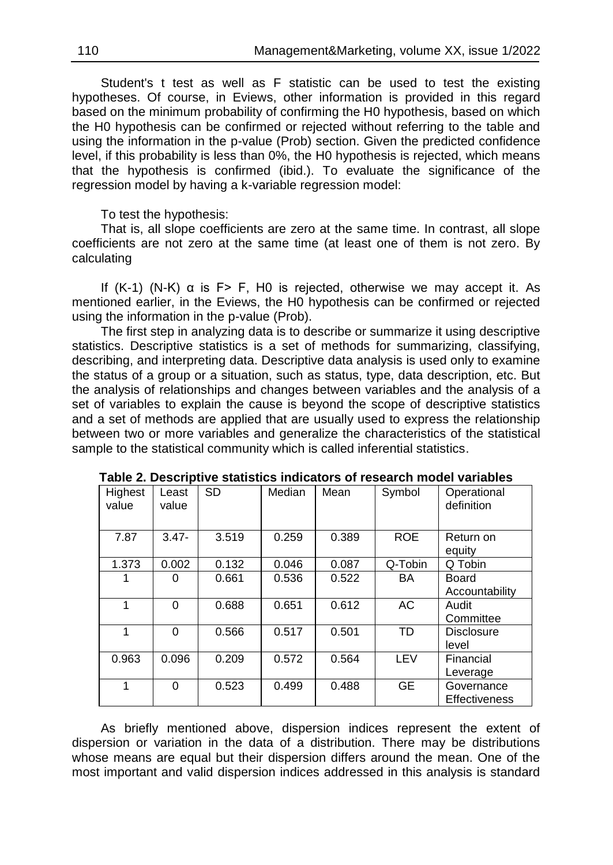Student's t test as well as F statistic can be used to test the existing hypotheses. Of course, in Eviews, other information is provided in this regard based on the minimum probability of confirming the H0 hypothesis, based on which the H0 hypothesis can be confirmed or rejected without referring to the table and using the information in the p-value (Prob) section. Given the predicted confidence level, if this probability is less than 0%, the H0 hypothesis is rejected, which means that the hypothesis is confirmed (ibid.). To evaluate the significance of the regression model by having a k-variable regression model:

To test the hypothesis:

That is, all slope coefficients are zero at the same time. In contrast, all slope coefficients are not zero at the same time (at least one of them is not zero. By calculating

If  $(K-1)$   $(N-K)$   $\alpha$  is F> F, H0 is rejected, otherwise we may accept it. As mentioned earlier, in the Eviews, the H0 hypothesis can be confirmed or rejected using the information in the p-value (Prob).

The first step in analyzing data is to describe or summarize it using descriptive statistics. Descriptive statistics is a set of methods for summarizing, classifying, describing, and interpreting data. Descriptive data analysis is used only to examine the status of a group or a situation, such as status, type, data description, etc. But the analysis of relationships and changes between variables and the analysis of a set of variables to explain the cause is beyond the scope of descriptive statistics and a set of methods are applied that are usually used to express the relationship between two or more variables and generalize the characteristics of the statistical sample to the statistical community which is called inferential statistics.

| Highest<br>value | Least<br>value | <b>SD</b> | Median | Mean  | Symbol     | Operational<br>definition          |
|------------------|----------------|-----------|--------|-------|------------|------------------------------------|
| 7.87             | $3.47 -$       | 3.519     | 0.259  | 0.389 | <b>ROE</b> | Return on<br>equity                |
| 1.373            | 0.002          | 0.132     | 0.046  | 0.087 | Q-Tobin    | Q Tobin                            |
|                  | 0              | 0.661     | 0.536  | 0.522 | BA         | Board<br>Accountability            |
| 1                | $\Omega$       | 0.688     | 0.651  | 0.612 | AC         | Audit<br>Committee                 |
| 1                | $\Omega$       | 0.566     | 0.517  | 0.501 | TD         | <b>Disclosure</b><br>level         |
| 0.963            | 0.096          | 0.209     | 0.572  | 0.564 | LEV        | Financial<br>Leverage              |
| 1                | $\Omega$       | 0.523     | 0.499  | 0.488 | <b>GE</b>  | Governance<br><b>Effectiveness</b> |

**Table 2. Descriptive statistics indicators of research model variables**

As briefly mentioned above, dispersion indices represent the extent of dispersion or variation in the data of a distribution. There may be distributions whose means are equal but their dispersion differs around the mean. One of the most important and valid dispersion indices addressed in this analysis is standard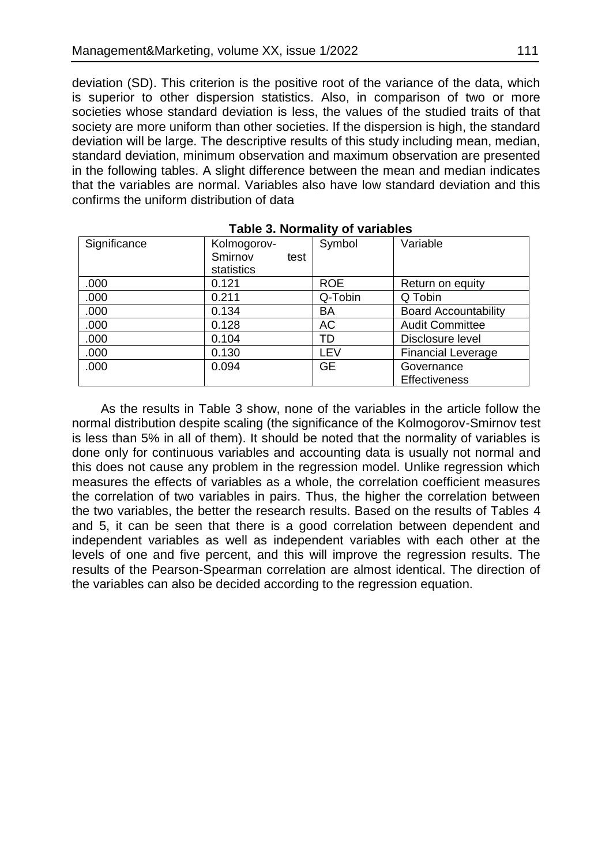deviation (SD). This criterion is the positive root of the variance of the data, which is superior to other dispersion statistics. Also, in comparison of two or more societies whose standard deviation is less, the values of the studied traits of that society are more uniform than other societies. If the dispersion is high, the standard deviation will be large. The descriptive results of this study including mean, median, standard deviation, minimum observation and maximum observation are presented in the following tables. A slight difference between the mean and median indicates that the variables are normal. Variables also have low standard deviation and this confirms the uniform distribution of data

| Significance | Kolmogorov-<br>Smirnov<br>test<br>statistics | Symbol     | Variable                           |
|--------------|----------------------------------------------|------------|------------------------------------|
| .000         | 0.121                                        | <b>ROE</b> | Return on equity                   |
| .000         | 0.211                                        | Q-Tobin    | Q Tobin                            |
| .000         | 0.134                                        | BA         | <b>Board Accountability</b>        |
| .000         | 0.128                                        | АC         | <b>Audit Committee</b>             |
| .000         | 0.104                                        | TD         | Disclosure level                   |
| .000         | 0.130                                        | LEV        | <b>Financial Leverage</b>          |
| .000         | 0.094                                        | <b>GE</b>  | Governance<br><b>Effectiveness</b> |

#### **Table 3. Normality of variables**

As the results in Table 3 show, none of the variables in the article follow the normal distribution despite scaling (the significance of the Kolmogorov-Smirnov test is less than 5% in all of them). It should be noted that the normality of variables is done only for continuous variables and accounting data is usually not normal and this does not cause any problem in the regression model. Unlike regression which measures the effects of variables as a whole, the correlation coefficient measures the correlation of two variables in pairs. Thus, the higher the correlation between the two variables, the better the research results. Based on the results of Tables 4 and 5, it can be seen that there is a good correlation between dependent and independent variables as well as independent variables with each other at the levels of one and five percent, and this will improve the regression results. The results of the Pearson-Spearman correlation are almost identical. The direction of the variables can also be decided according to the regression equation.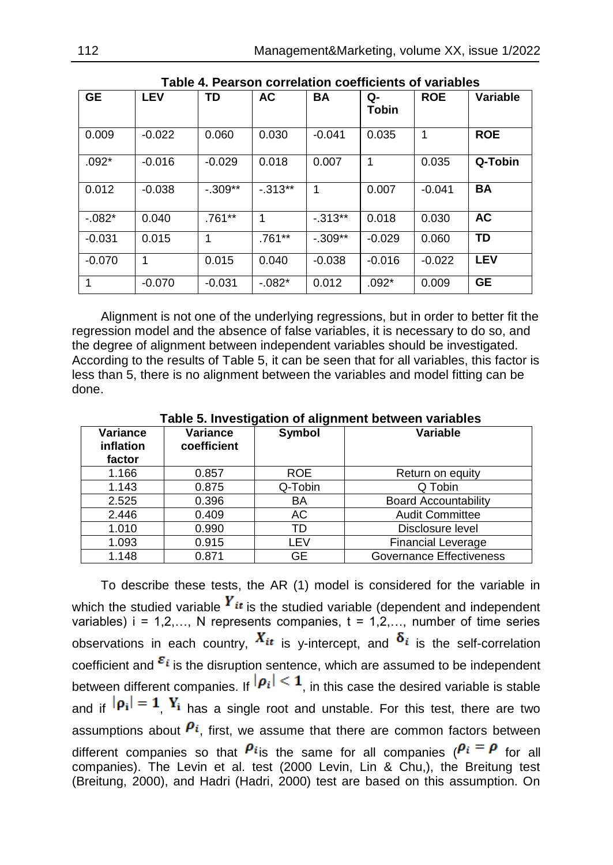| <b>GE</b> | <b>LEV</b> | <b>TD</b> | <b>AC</b>  | <b>BA</b> | Q-<br>Tobin | <b>ROE</b> | Variable   |
|-----------|------------|-----------|------------|-----------|-------------|------------|------------|
| 0.009     | $-0.022$   | 0.060     | 0.030      | $-0.041$  | 0.035       | 1          | <b>ROE</b> |
| $.092*$   | $-0.016$   | $-0.029$  | 0.018      | 0.007     | 1           | 0.035      | Q-Tobin    |
| 0.012     | $-0.038$   | $-.309**$ | $-0.313**$ | 1         | 0.007       | $-0.041$   | <b>BA</b>  |
| $-.082*$  | 0.040      | $.761***$ | 1          | $-.313**$ | 0.018       | 0.030      | AC         |
| $-0.031$  | 0.015      | 1         | $.761***$  | $-.309**$ | $-0.029$    | 0.060      | <b>TD</b>  |
| $-0.070$  | 1          | 0.015     | 0.040      | $-0.038$  | $-0.016$    | $-0.022$   | <b>LEV</b> |
| 1         | $-0.070$   | $-0.031$  | $-.082*$   | 0.012     | $.092*$     | 0.009      | <b>GE</b>  |

**Table 4. Pearson correlation coefficients of variables**

Alignment is not one of the underlying regressions, but in order to better fit the regression model and the absence of false variables, it is necessary to do so, and the degree of alignment between independent variables should be investigated. According to the results of Table 5, it can be seen that for all variables, this factor is less than 5, there is no alignment between the variables and model fitting can be done.

| rapic of investigation or anguinent between variables |                         |         |                             |  |  |
|-------------------------------------------------------|-------------------------|---------|-----------------------------|--|--|
| Variance<br>inflation<br>factor                       | Variance<br>coefficient | Symbol  | <b>Variable</b>             |  |  |
| 1.166                                                 | 0.857                   | ROE.    | Return on equity            |  |  |
| 1.143                                                 | 0.875                   | Q-Tobin | Q Tobin                     |  |  |
| 2.525                                                 | 0.396                   | BA      | <b>Board Accountability</b> |  |  |
| 2.446                                                 | 0.409                   | АC      | <b>Audit Committee</b>      |  |  |
| 1.010                                                 | 0.990                   | TD      | Disclosure level            |  |  |
| 1.093                                                 | 0.915                   | LEV     | <b>Financial Leverage</b>   |  |  |
| 1.148                                                 | 0.871                   | GE      | Governance Effectiveness    |  |  |

**Table 5. Investigation of alignment between variables**

To describe these tests, the AR (1) model is considered for the variable in which the studied variable  $\boldsymbol{Y_{it}}$  is the studied variable (dependent and independent variables)  $i = 1, 2, \ldots$ , N represents companies,  $t = 1, 2, \ldots$ , number of time series observations in each country,  $X_{it}$  is y-intercept, and  $\delta_i$  is the self-correlation coefficient and  $\varepsilon_i$  is the disruption sentence, which are assumed to be independent between different companies. If  $|\boldsymbol{p}_i| < 1$ , in this case the desired variable is stable and if  $|\rho_i| = 1$ ,  $Y_i$  has a single root and unstable. For this test, there are two assumptions about  $P_i$ , first, we assume that there are common factors between different companies so that  $P_i$  is the same for all companies ( $P_i = P$  for all companies). The Levin et al. test (2000 Levin, Lin & Chu,), the Breitung test (Breitung, 2000), and Hadri (Hadri, 2000) test are based on this assumption. On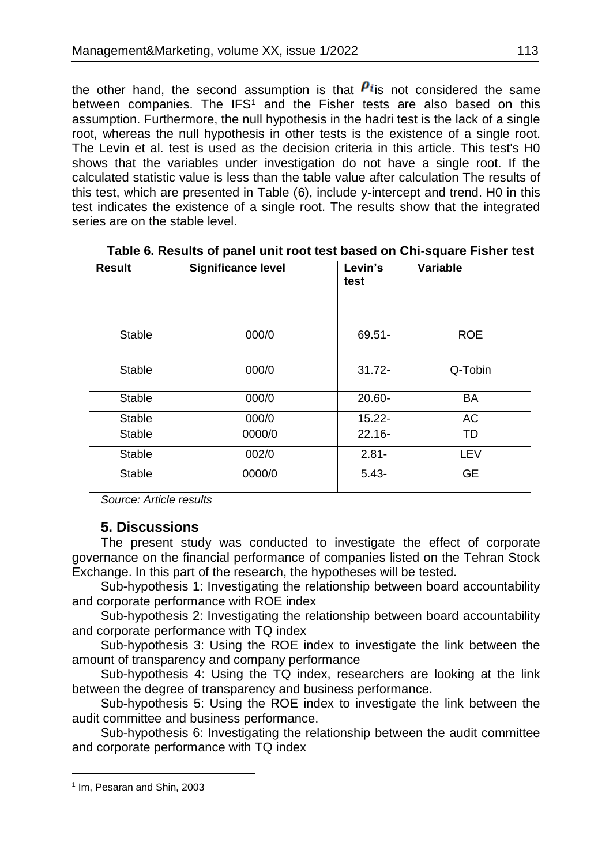the other hand, the second assumption is that  $P_i$  is not considered the same between companies. The IFS<sup>1</sup> and the Fisher tests are also based on this assumption. Furthermore, the null hypothesis in the hadri test is the lack of a single root, whereas the null hypothesis in other tests is the existence of a single root. The Levin et al. test is used as the decision criteria in this article. This test's H0 shows that the variables under investigation do not have a single root. If the calculated statistic value is less than the table value after calculation The results of this test, which are presented in Table (6), include y-intercept and trend. H0 in this test indicates the existence of a single root. The results show that the integrated series are on the stable level.

| <b>Result</b> | Significance level | Levin's<br>test | Variable   |
|---------------|--------------------|-----------------|------------|
| Stable        | 000/0              | $69.51 -$       | <b>ROE</b> |
| Stable        | 000/0              | $31.72 -$       | Q-Tobin    |
| Stable        | 000/0              | $20.60 -$       | <b>BA</b>  |
| Stable        | 000/0              | $15.22 -$       | AC         |
| <b>Stable</b> | 0000/0             | $22.16 -$       | <b>TD</b>  |
| <b>Stable</b> | 002/0              | $2.81 -$        | LEV        |
| Stable        | 0000/0             | $5.43 -$        | <b>GE</b>  |

**Table 6. Results of panel unit root test based on Chi-square Fisher test**

*Source: Article results*

## **5. Discussions**

The present study was conducted to investigate the effect of corporate governance on the financial performance of companies listed on the Tehran Stock Exchange. In this part of the research, the hypotheses will be tested.

Sub-hypothesis 1: Investigating the relationship between board accountability and corporate performance with ROE index

Sub-hypothesis 2: Investigating the relationship between board accountability and corporate performance with TQ index

Sub-hypothesis 3: Using the ROE index to investigate the link between the amount of transparency and company performance

Sub-hypothesis 4: Using the TQ index, researchers are looking at the link between the degree of transparency and business performance.

Sub-hypothesis 5: Using the ROE index to investigate the link between the audit committee and business performance.

Sub-hypothesis 6: Investigating the relationship between the audit committee and corporate performance with TQ index

 $\overline{a}$ 1 Im, Pesaran and Shin, 2003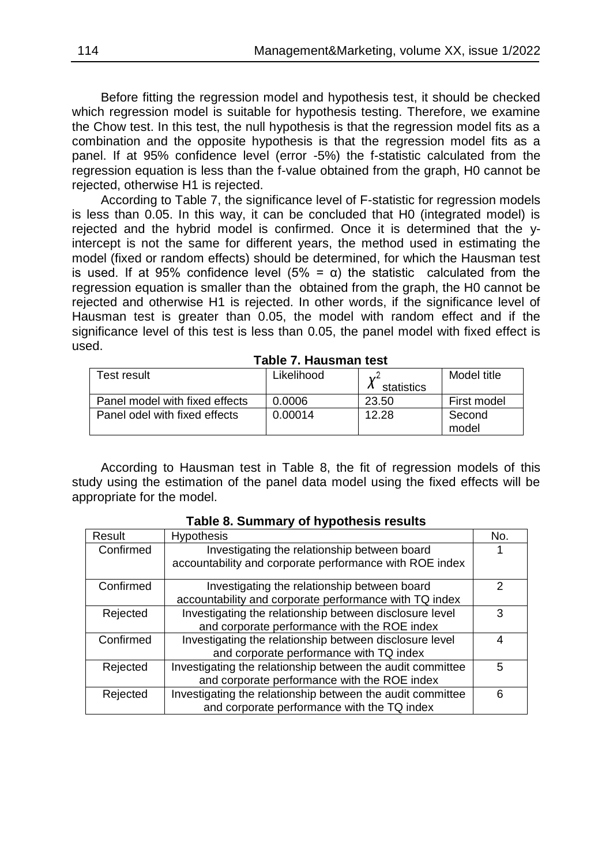Before fitting the regression model and hypothesis test, it should be checked which regression model is suitable for hypothesis testing. Therefore, we examine the Chow test. In this test, the null hypothesis is that the regression model fits as a combination and the opposite hypothesis is that the regression model fits as a panel. If at 95% confidence level (error -5%) the f-statistic calculated from the regression equation is less than the f-value obtained from the graph, H0 cannot be rejected, otherwise H1 is rejected.

According to Table 7, the significance level of F-statistic for regression models is less than 0.05. In this way, it can be concluded that H0 (integrated model) is rejected and the hybrid model is confirmed. Once it is determined that the yintercept is not the same for different years, the method used in estimating the model (fixed or random effects) should be determined, for which the Hausman test is used. If at 95% confidence level (5% = α) the statistic calculated from the regression equation is smaller than the obtained from the graph, the H0 cannot be rejected and otherwise H1 is rejected. In other words, if the significance level of Hausman test is greater than 0.05, the model with random effect and if the significance level of this test is less than 0.05, the panel model with fixed effect is used.

| Test result                    | Likelihood | statistics | Model title |
|--------------------------------|------------|------------|-------------|
| Panel model with fixed effects | 0.0006     | 23.50      | First model |
| Panel odel with fixed effects  | 0.00014    | 12.28      | Second      |
|                                |            |            | model       |

#### **Table 7. Hausman test**

According to Hausman test in Table 8, the fit of regression models of this study using the estimation of the panel data model using the fixed effects will be appropriate for the model.

| Result    | Hypothesis                                                 | No. |
|-----------|------------------------------------------------------------|-----|
| Confirmed | Investigating the relationship between board               |     |
|           | accountability and corporate performance with ROE index    |     |
| Confirmed | Investigating the relationship between board               | 2   |
|           | accountability and corporate performance with TQ index     |     |
| Rejected  | Investigating the relationship between disclosure level    | 3   |
|           | and corporate performance with the ROE index               |     |
| Confirmed | Investigating the relationship between disclosure level    | 4   |
|           | and corporate performance with TQ index                    |     |
| Rejected  | Investigating the relationship between the audit committee | 5   |
|           | and corporate performance with the ROE index               |     |
| Rejected  | Investigating the relationship between the audit committee | 6   |
|           | and corporate performance with the TQ index                |     |

#### **Table 8. Summary of hypothesis results**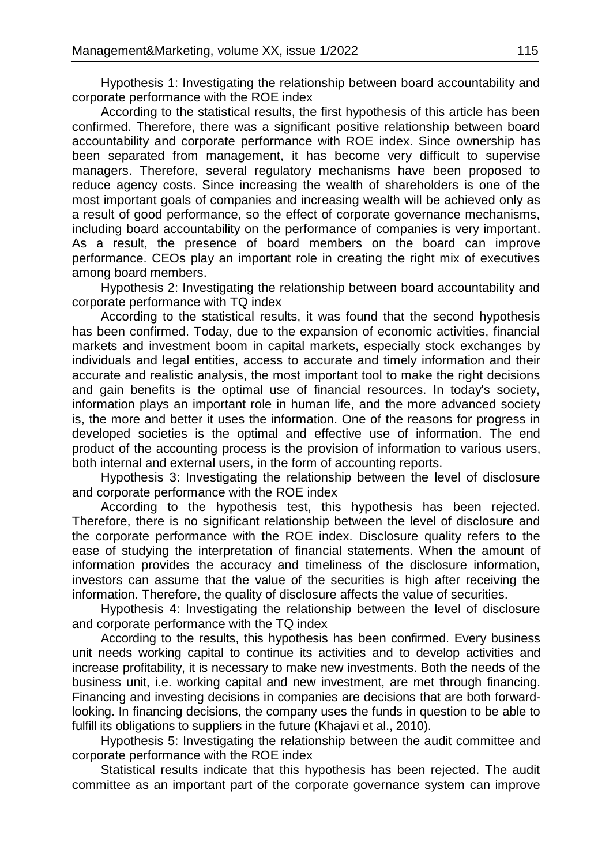Hypothesis 1: Investigating the relationship between board accountability and corporate performance with the ROE index

According to the statistical results, the first hypothesis of this article has been confirmed. Therefore, there was a significant positive relationship between board accountability and corporate performance with ROE index. Since ownership has been separated from management, it has become very difficult to supervise managers. Therefore, several regulatory mechanisms have been proposed to reduce agency costs. Since increasing the wealth of shareholders is one of the most important goals of companies and increasing wealth will be achieved only as a result of good performance, so the effect of corporate governance mechanisms, including board accountability on the performance of companies is very important. As a result, the presence of board members on the board can improve performance. CEOs play an important role in creating the right mix of executives among board members.

Hypothesis 2: Investigating the relationship between board accountability and corporate performance with TQ index

According to the statistical results, it was found that the second hypothesis has been confirmed. Today, due to the expansion of economic activities, financial markets and investment boom in capital markets, especially stock exchanges by individuals and legal entities, access to accurate and timely information and their accurate and realistic analysis, the most important tool to make the right decisions and gain benefits is the optimal use of financial resources. In today's society, information plays an important role in human life, and the more advanced society is, the more and better it uses the information. One of the reasons for progress in developed societies is the optimal and effective use of information. The end product of the accounting process is the provision of information to various users, both internal and external users, in the form of accounting reports.

Hypothesis 3: Investigating the relationship between the level of disclosure and corporate performance with the ROE index

According to the hypothesis test, this hypothesis has been rejected. Therefore, there is no significant relationship between the level of disclosure and the corporate performance with the ROE index. Disclosure quality refers to the ease of studying the interpretation of financial statements. When the amount of information provides the accuracy and timeliness of the disclosure information, investors can assume that the value of the securities is high after receiving the information. Therefore, the quality of disclosure affects the value of securities.

Hypothesis 4: Investigating the relationship between the level of disclosure and corporate performance with the TQ index

According to the results, this hypothesis has been confirmed. Every business unit needs working capital to continue its activities and to develop activities and increase profitability, it is necessary to make new investments. Both the needs of the business unit, i.e. working capital and new investment, are met through financing. Financing and investing decisions in companies are decisions that are both forwardlooking. In financing decisions, the company uses the funds in question to be able to fulfill its obligations to suppliers in the future (Khajavi et al., 2010).

Hypothesis 5: Investigating the relationship between the audit committee and corporate performance with the ROE index

Statistical results indicate that this hypothesis has been rejected. The audit committee as an important part of the corporate governance system can improve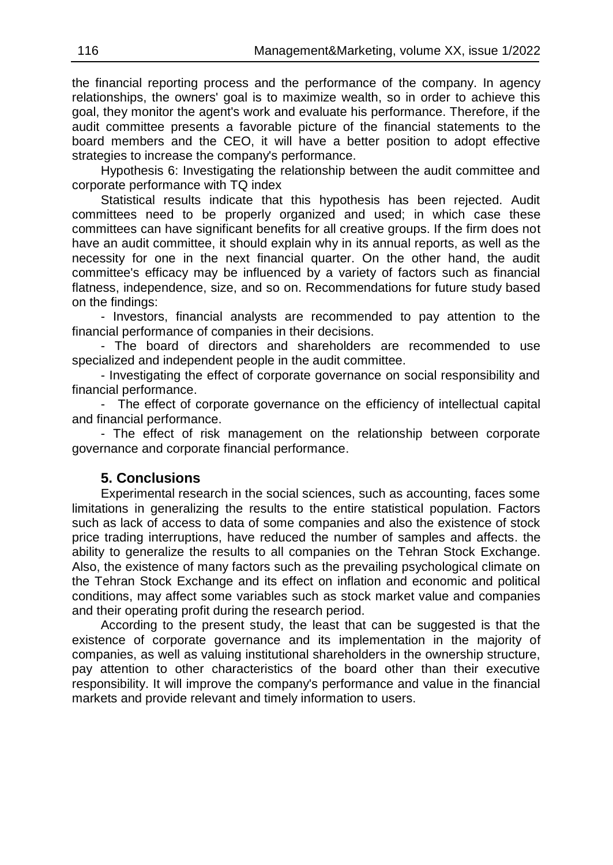the financial reporting process and the performance of the company. In agency relationships, the owners' goal is to maximize wealth, so in order to achieve this goal, they monitor the agent's work and evaluate his performance. Therefore, if the audit committee presents a favorable picture of the financial statements to the board members and the CEO, it will have a better position to adopt effective strategies to increase the company's performance.

Hypothesis 6: Investigating the relationship between the audit committee and corporate performance with TQ index

Statistical results indicate that this hypothesis has been rejected. Audit committees need to be properly organized and used; in which case these committees can have significant benefits for all creative groups. If the firm does not have an audit committee, it should explain why in its annual reports, as well as the necessity for one in the next financial quarter. On the other hand, the audit committee's efficacy may be influenced by a variety of factors such as financial flatness, independence, size, and so on. Recommendations for future study based on the findings:

- Investors, financial analysts are recommended to pay attention to the financial performance of companies in their decisions.

- The board of directors and shareholders are recommended to use specialized and independent people in the audit committee.

- Investigating the effect of corporate governance on social responsibility and financial performance.

- The effect of corporate governance on the efficiency of intellectual capital and financial performance.

- The effect of risk management on the relationship between corporate governance and corporate financial performance.

### **5. Conclusions**

Experimental research in the social sciences, such as accounting, faces some limitations in generalizing the results to the entire statistical population. Factors such as lack of access to data of some companies and also the existence of stock price trading interruptions, have reduced the number of samples and affects. the ability to generalize the results to all companies on the Tehran Stock Exchange. Also, the existence of many factors such as the prevailing psychological climate on the Tehran Stock Exchange and its effect on inflation and economic and political conditions, may affect some variables such as stock market value and companies and their operating profit during the research period.

According to the present study, the least that can be suggested is that the existence of corporate governance and its implementation in the majority of companies, as well as valuing institutional shareholders in the ownership structure, pay attention to other characteristics of the board other than their executive responsibility. It will improve the company's performance and value in the financial markets and provide relevant and timely information to users.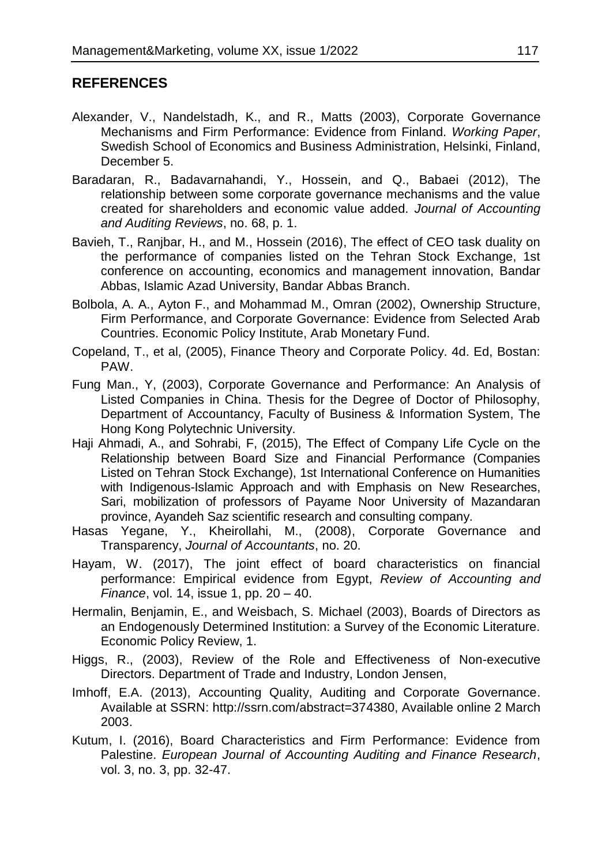# **REFERENCES**

- Alexander, V., Nandelstadh, K., and R., Matts (2003), Corporate Governance Mechanisms and Firm Performance: Evidence from Finland. *Working Paper*, Swedish School of Economics and Business Administration, Helsinki, Finland, December 5.
- Baradaran, R., Badavarnahandi, Y., Hossein, and Q., Babaei (2012), The relationship between some corporate governance mechanisms and the value created for shareholders and economic value added. *Journal of Accounting and Auditing Reviews*, no. 68, p. 1.
- Bavieh, T., Ranjbar, H., and M., Hossein (2016), The effect of CEO task duality on the performance of companies listed on the Tehran Stock Exchange, 1st conference on accounting, economics and management innovation, Bandar Abbas, Islamic Azad University, Bandar Abbas Branch.
- Bolbola, A. A., Ayton F., and Mohammad M., Omran (2002), Ownership Structure, Firm Performance, and Corporate Governance: Evidence from Selected Arab Countries. Economic Policy Institute, Arab Monetary Fund.
- Copeland, T., et al, (2005), Finance Theory and Corporate Policy. 4d. Ed, Bostan: PAW.
- Fung Man., Y, (2003), Corporate Governance and Performance: An Analysis of Listed Companies in China. Thesis for the Degree of Doctor of Philosophy, Department of Accountancy, Faculty of Business & Information System, The Hong Kong Polytechnic University.
- Haji Ahmadi, A., and Sohrabi, F, (2015), The Effect of Company Life Cycle on the Relationship between Board Size and Financial Performance (Companies Listed on Tehran Stock Exchange), 1st International Conference on Humanities with Indigenous-Islamic Approach and with Emphasis on New Researches, Sari, mobilization of professors of Payame Noor University of Mazandaran province, Ayandeh Saz scientific research and consulting company.
- Hasas Yegane, Y., Kheirollahi, M., (2008), Corporate Governance and Transparency, *Journal of Accountants*, no. 20.
- Hayam, W. (2017), The joint effect of board characteristics on financial performance: Empirical evidence from Egypt, *Review of Accounting and Finance*, vol. 14, issue 1, pp. 20 – 40.
- Hermalin, Benjamin, E., and Weisbach, S. Michael (2003), Boards of Directors as an Endogenously Determined Institution: a Survey of the Economic Literature. Economic Policy Review, 1.
- Higgs, R., (2003), Review of the Role and Effectiveness of Non-executive Directors. Department of Trade and Industry, London Jensen,
- Imhoff, E.A. (2013), Accounting Quality, Auditing and Corporate Governance. Available at SSRN: http://ssrn.com/abstract=374380, Available online 2 March 2003.
- Kutum, I. (2016), Board Characteristics and Firm Performance: Evidence from Palestine. *European Journal of Accounting Auditing and Finance Research*, vol. 3, no. 3, pp. 32-47.